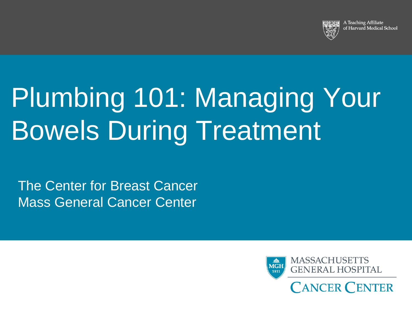

A Teaching Affiliate of Harvard Medical School

# Plumbing 101: Managing Your Bowels During Treatment

The Center for Breast Cancer Mass General Cancer Center

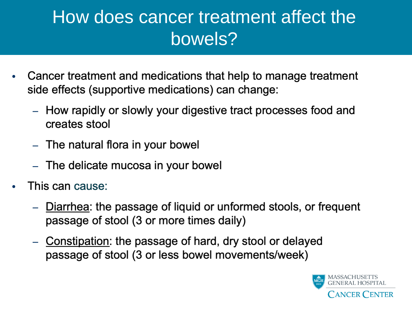### How does cancer treatment affect the bowels?

- Cancer treatment and medications that help to manage treatment  $\bullet$ side effects (supportive medications) can change:
	- How rapidly or slowly your digestive tract processes food and creates stool
	- The natural flora in your bowel
	- The delicate mucosa in your bowel
- This can cause:  $\bullet$ 
	- Diarrhea: the passage of liquid or unformed stools, or frequent passage of stool (3 or more times daily)
	- Constipation: the passage of hard, dry stool or delayed passage of stool (3 or less bowel movements/week)

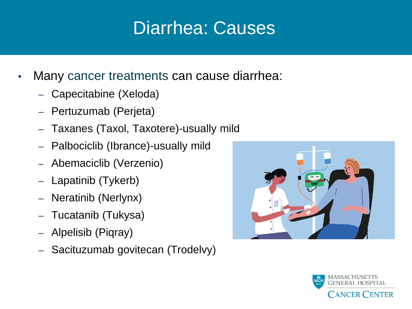### Diarrhea: Causes

- Many cancer treatments can cause diarrhea:
	- Capecitabine (Xeloda)
	- Pertuzumab (Perjeta)
	- Taxanes (Taxol, Taxotere)-usually mild
	- Palbociclib (Ibrance)-usually mild
	- Abemaciclib (Verzenio)
	- Lapatinib (Tykerb)
	- Neratinib (Nerlynx)
	- Tucatanib (Tukysa)
	- Alpelisib (Piqray)
	- Sacituzumab govitecan (Trodelvy)



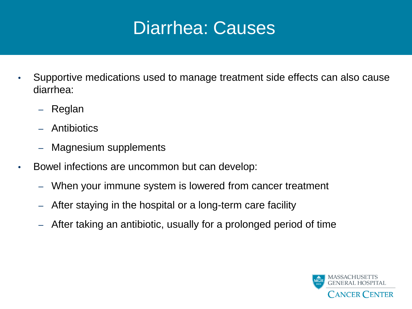#### Diarrhea: Causes

- Supportive medications used to manage treatment side effects can also cause diarrhea:
	- Reglan
	- Antibiotics
	- Magnesium supplements
- Bowel infections are uncommon but can develop:
	- When your immune system is lowered from cancer treatment
	- After staying in the hospital or a long-term care facility
	- After taking an antibiotic, usually for a prolonged period of time

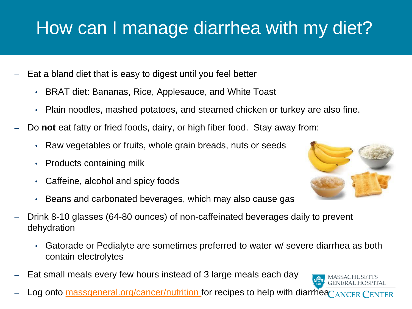# How can I manage diarrhea with my diet?

- Eat a bland diet that is easy to digest until you feel better
	- BRAT diet: Bananas, Rice, Applesauce, and White Toast
	- Plain noodles, mashed potatoes, and steamed chicken or turkey are also fine.
- Do **not** eat fatty or fried foods, dairy, or high fiber food. Stay away from:
	- Raw vegetables or fruits, whole grain breads, nuts or seeds
	- Products containing milk
	- Caffeine, alcohol and spicy foods
	- Beans and carbonated beverages, which may also cause gas
- Drink 8-10 glasses (64-80 ounces) of non-caffeinated beverages daily to prevent dehydration
	- Gatorade or Pedialyte are sometimes preferred to water w/ severe diarrhea as both contain electrolytes
- Eat small meals every few hours instead of 3 large meals each day
- Log onto<massgeneral.org/cancer/nutrition>for recipes to help with diarrhea ANCER CENTER



 $\overbrace{\text{MGH}}^{\text{ch}}$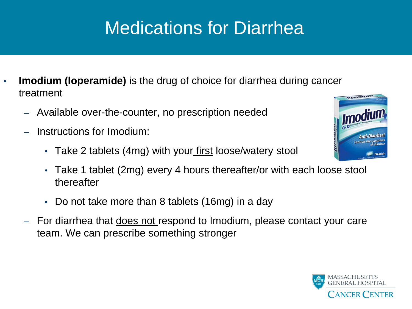# Medications for Diarrhea

- **Imodium (loperamide)** is the drug of choice for diarrhea during cancer treatment
	- Available over-the-counter, no prescription needed
	- Instructions for Imodium:
		- Take 2 tablets (4mg) with your first loose/watery stool
		- Take 1 tablet (2mg) every 4 hours thereafter/or with each loose stool thereafter
		- Do not take more than 8 tablets (16mg) in a day
	- For diarrhea that *does not* respond to Imodium, please contact your care team. We can prescribe something stronger



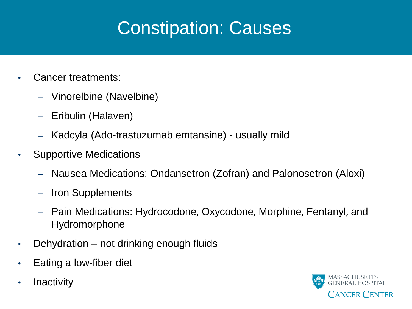# Constipation: Causes

- Cancer treatments:
	- Vinorelbine (Navelbine)
	- Eribulin (Halaven)
	- Kadcyla (Ado-trastuzumab emtansine) usually mild
- Supportive Medications
	- Nausea Medications: Ondansetron (Zofran) and Palonosetron (Aloxi)
	- Iron Supplements
	- Pain Medications: Hydrocodone, Oxycodone, Morphine, Fentanyl, and Hydromorphone
- Dehydration not drinking enough fluids
- Eating a low-fiber diet
- Inactivity

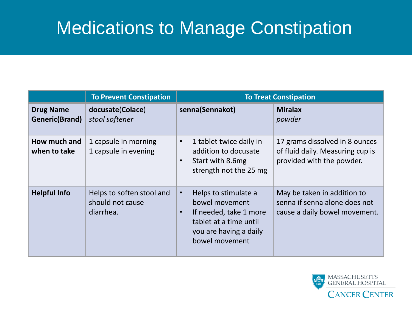### Medications to Manage Constipation

|                                    | <b>To Prevent Constipation</b>                             | <b>To Treat Constipation</b>                                                                                                                                     |                                                                                                 |
|------------------------------------|------------------------------------------------------------|------------------------------------------------------------------------------------------------------------------------------------------------------------------|-------------------------------------------------------------------------------------------------|
| <b>Drug Name</b><br>Generic(Brand) | docusate(Colace)<br>stool softener                         | senna(Sennakot)                                                                                                                                                  | <b>Miralax</b><br>powder                                                                        |
| How much and<br>when to take       | 1 capsule in morning<br>1 capsule in evening               | 1 tablet twice daily in<br>$\bullet$<br>addition to docusate<br>Start with 8.6mg<br>$\bullet$<br>strength not the 25 mg                                          | 17 grams dissolved in 8 ounces<br>of fluid daily. Measuring cup is<br>provided with the powder. |
| <b>Helpful Info</b>                | Helps to soften stool and<br>should not cause<br>diarrhea. | Helps to stimulate a<br>$\bullet$<br>bowel movement<br>If needed, take 1 more<br>$\bullet$<br>tablet at a time until<br>you are having a daily<br>bowel movement | May be taken in addition to<br>senna if senna alone does not<br>cause a daily bowel movement.   |

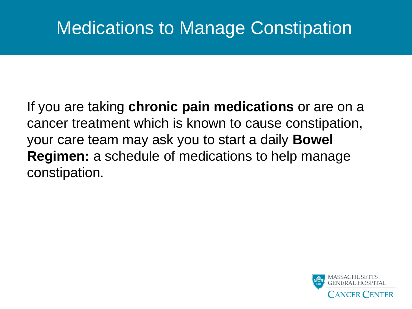### Medications to Manage Constipation

If you are taking **chronic pain medications** or are on a cancer treatment which is known to cause constipation, your care team may ask you to start a daily **Bowel Regimen:** a schedule of medications to help manage constipation.

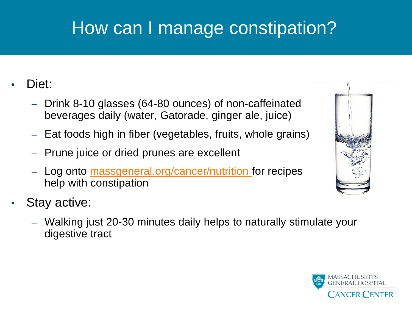# How can I manage constipation?

#### Diet:

- Drink 8-10 glasses (64-80 ounces) of non-caffeinated beverages daily (water, Gatorade, ginger ale, juice)
- Eat foods high in fiber (vegetables, fruits, whole grains)
- Prune juice or dried prunes are excellent
- Log onto **massgeneral.org/cancer/nutrition** for recipes help with constipation
- Stay active:
	- Walking just 20-30 minutes daily helps to naturally stimulate your digestive tract



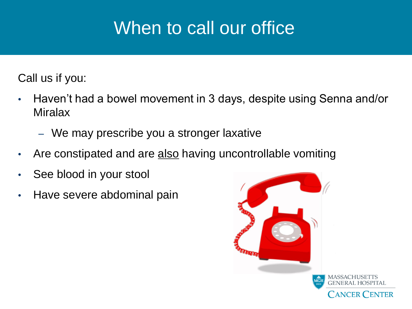### When to call our office

Call us if you:

- Haven't had a bowel movement in 3 days, despite using Senna and/or **Miralax** 
	- We may prescribe you a stronger laxative
- Are constipated and are also having uncontrollable vomiting
- See blood in your stool
- Have severe abdominal pain